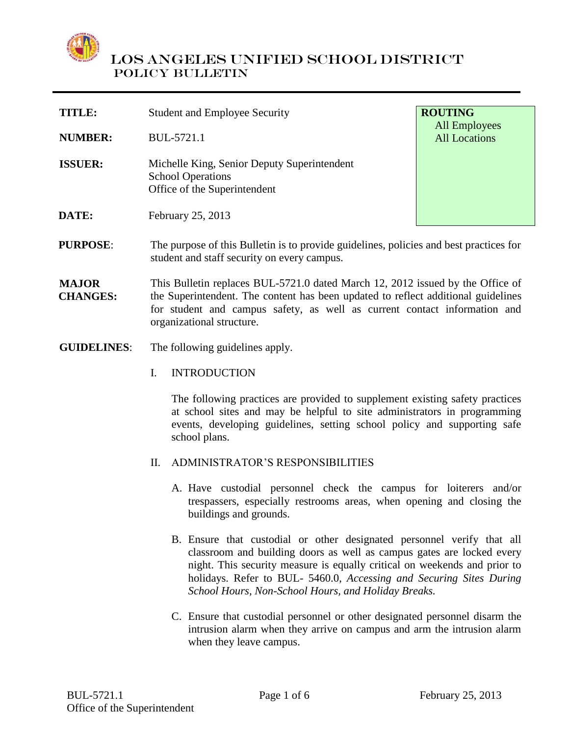

| <b>TITLE:</b>  | <b>Student and Employee Security</b>                                                                    | <b>ROUTING</b><br><b>All Employees</b> |
|----------------|---------------------------------------------------------------------------------------------------------|----------------------------------------|
| <b>NUMBER:</b> | BUL-5721.1                                                                                              | <b>All Locations</b>                   |
| <b>ISSUER:</b> | Michelle King, Senior Deputy Superintendent<br><b>School Operations</b><br>Office of the Superintendent |                                        |
| <b>DATE:</b>   | February 25, 2013                                                                                       |                                        |
| PHRPOSE∙       | The purpose of this Bulletin is to provide quidelines, policies and best practices for                  |                                        |

**PURPOSE**: The purpose of this Bulletin is to provide guidelines, policies and best practices for student and staff security on every campus.

**MAJOR CHANGES:** This Bulletin replaces BUL-5721.0 dated March 12, 2012 issued by the Office of the Superintendent. The content has been updated to reflect additional guidelines for student and campus safety, as well as current contact information and organizational structure.

- **GUIDELINES**: The following guidelines apply.
	- I. INTRODUCTION

The following practices are provided to supplement existing safety practices at school sites and may be helpful to site administrators in programming events, developing guidelines, setting school policy and supporting safe school plans.

- II. ADMINISTRATOR'S RESPONSIBILITIES
	- A. Have custodial personnel check the campus for loiterers and/or trespassers, especially restrooms areas, when opening and closing the buildings and grounds.
	- B. Ensure that custodial or other designated personnel verify that all classroom and building doors as well as campus gates are locked every night. This security measure is equally critical on weekends and prior to holidays. Refer to BUL- 5460.0, *Accessing and Securing Sites During School Hours, Non-School Hours, and Holiday Breaks.*
	- C. Ensure that custodial personnel or other designated personnel disarm the intrusion alarm when they arrive on campus and arm the intrusion alarm when they leave campus.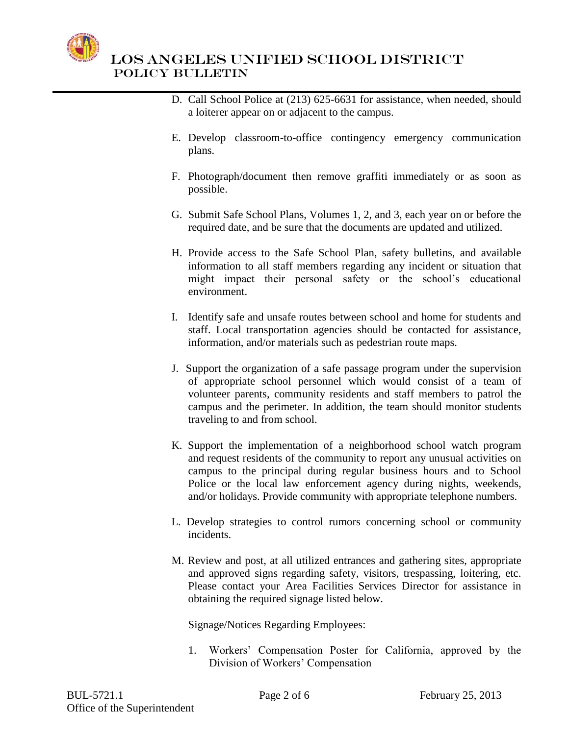

- D. Call School Police at (213) 625-6631 for assistance, when needed, should a loiterer appear on or adjacent to the campus.
- E. Develop classroom-to-office contingency emergency communication plans.
- F. Photograph/document then remove graffiti immediately or as soon as possible.
- G. Submit Safe School Plans, Volumes 1, 2, and 3, each year on or before the required date, and be sure that the documents are updated and utilized.
- H. Provide access to the Safe School Plan, safety bulletins, and available information to all staff members regarding any incident or situation that might impact their personal safety or the school's educational environment.
- I. Identify safe and unsafe routes between school and home for students and staff. Local transportation agencies should be contacted for assistance, information, and/or materials such as pedestrian route maps.
- J. Support the organization of a safe passage program under the supervision of appropriate school personnel which would consist of a team of volunteer parents, community residents and staff members to patrol the campus and the perimeter. In addition, the team should monitor students traveling to and from school.
- K. Support the implementation of a neighborhood school watch program and request residents of the community to report any unusual activities on campus to the principal during regular business hours and to School Police or the local law enforcement agency during nights, weekends, and/or holidays. Provide community with appropriate telephone numbers.
- L. Develop strategies to control rumors concerning school or community incidents.
- M. Review and post, at all utilized entrances and gathering sites, appropriate and approved signs regarding safety, visitors, trespassing, loitering, etc. Please contact your Area Facilities Services Director for assistance in obtaining the required signage listed below.

Signage/Notices Regarding Employees:

1. Workers' Compensation Poster for California, approved by the Division of Workers' Compensation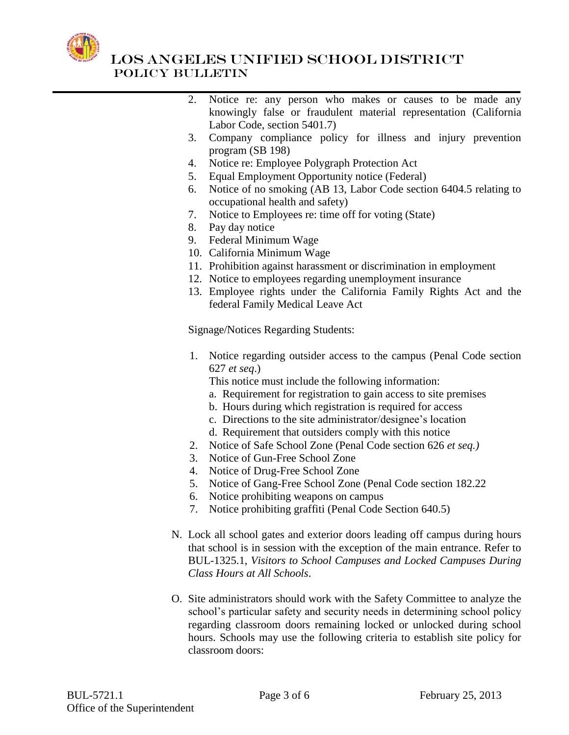

- 2. Notice re: any person who makes or causes to be made any knowingly false or fraudulent material representation (California Labor Code, section 5401.7)
- 3. Company compliance policy for illness and injury prevention program (SB 198)
- 4. Notice re: Employee Polygraph Protection Act
- 5. Equal Employment Opportunity notice (Federal)
- 6. Notice of no smoking (AB 13, Labor Code section 6404.5 relating to occupational health and safety)
- 7. Notice to Employees re: time off for voting (State)
- 8. Pay day notice
- 9. Federal Minimum Wage
- 10. California Minimum Wage
- 11. Prohibition against harassment or discrimination in employment
- 12. Notice to employees regarding unemployment insurance
- 13. Employee rights under the California Family Rights Act and the federal Family Medical Leave Act

Signage/Notices Regarding Students:

- 1. Notice regarding outsider access to the campus (Penal Code section 627 *et seq*.)
	- This notice must include the following information:
	- a. Requirement for registration to gain access to site premises
	- b. Hours during which registration is required for access
	- c. Directions to the site administrator/designee's location
	- d. Requirement that outsiders comply with this notice
- 2. Notice of Safe School Zone (Penal Code section 626 *et seq.)*
- 3. Notice of Gun-Free School Zone
- 4. Notice of Drug-Free School Zone
- 5. Notice of Gang-Free School Zone (Penal Code section 182.22
- 6. Notice prohibiting weapons on campus
- 7. Notice prohibiting graffiti (Penal Code Section 640.5)
- N. Lock all school gates and exterior doors leading off campus during hours that school is in session with the exception of the main entrance. Refer to BUL-1325.1, *Visitors to School Campuses and Locked Campuses During Class Hours at All Schools*.
- O. Site administrators should work with the Safety Committee to analyze the school's particular safety and security needs in determining school policy regarding classroom doors remaining locked or unlocked during school hours. Schools may use the following criteria to establish site policy for classroom doors: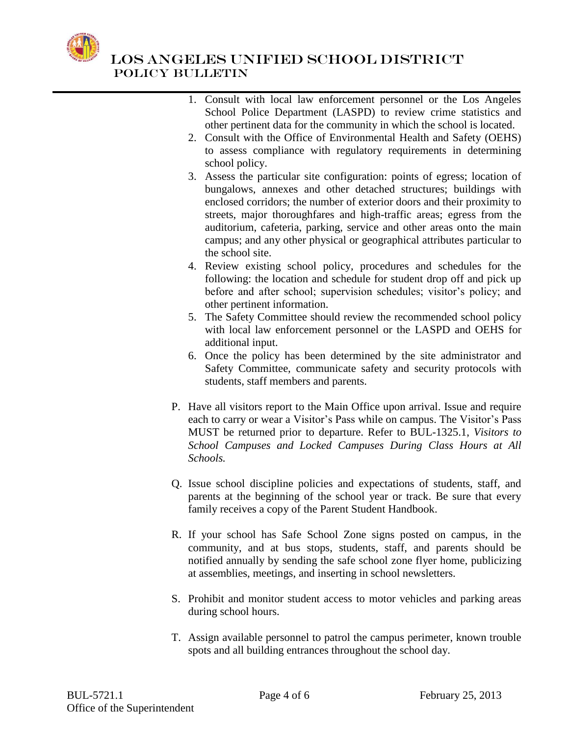

- 1. Consult with local law enforcement personnel or the Los Angeles School Police Department (LASPD) to review crime statistics and other pertinent data for the community in which the school is located.
- 2. Consult with the Office of Environmental Health and Safety (OEHS) to assess compliance with regulatory requirements in determining school policy.
- 3. Assess the particular site configuration: points of egress; location of bungalows, annexes and other detached structures; buildings with enclosed corridors; the number of exterior doors and their proximity to streets, major thoroughfares and high-traffic areas; egress from the auditorium, cafeteria, parking, service and other areas onto the main campus; and any other physical or geographical attributes particular to the school site.
- 4. Review existing school policy, procedures and schedules for the following: the location and schedule for student drop off and pick up before and after school; supervision schedules; visitor's policy; and other pertinent information.
- 5. The Safety Committee should review the recommended school policy with local law enforcement personnel or the LASPD and OEHS for additional input.
- 6. Once the policy has been determined by the site administrator and Safety Committee, communicate safety and security protocols with students, staff members and parents.
- P. Have all visitors report to the Main Office upon arrival. Issue and require each to carry or wear a Visitor's Pass while on campus. The Visitor's Pass MUST be returned prior to departure. Refer to BUL-1325.1, *Visitors to School Campuses and Locked Campuses During Class Hours at All Schools.*
- Q. Issue school discipline policies and expectations of students, staff, and parents at the beginning of the school year or track. Be sure that every family receives a copy of the Parent Student Handbook.
- R. If your school has Safe School Zone signs posted on campus, in the community, and at bus stops, students, staff, and parents should be notified annually by sending the safe school zone flyer home, publicizing at assemblies, meetings, and inserting in school newsletters.
- S. Prohibit and monitor student access to motor vehicles and parking areas during school hours.
- T. Assign available personnel to patrol the campus perimeter, known trouble spots and all building entrances throughout the school day.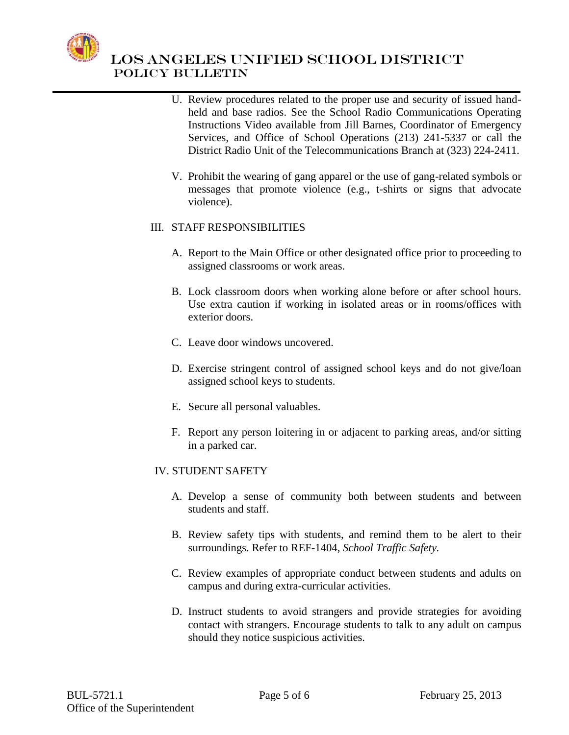

- U. Review procedures related to the proper use and security of issued handheld and base radios. See the School Radio Communications Operating Instructions Video available from Jill Barnes, Coordinator of Emergency Services, and Office of School Operations (213) 241-5337 or call the District Radio Unit of the Telecommunications Branch at (323) 224-2411.
- V. Prohibit the wearing of gang apparel or the use of gang-related symbols or messages that promote violence (e.g., t-shirts or signs that advocate violence).

### III. STAFF RESPONSIBILITIES

- A. Report to the Main Office or other designated office prior to proceeding to assigned classrooms or work areas.
- B. Lock classroom doors when working alone before or after school hours. Use extra caution if working in isolated areas or in rooms/offices with exterior doors.
- C. Leave door windows uncovered.
- D. Exercise stringent control of assigned school keys and do not give/loan assigned school keys to students.
- E. Secure all personal valuables.
- F. Report any person loitering in or adjacent to parking areas, and/or sitting in a parked car.

#### IV. STUDENT SAFETY

- A. Develop a sense of community both between students and between students and staff.
- B. Review safety tips with students, and remind them to be alert to their surroundings. Refer to REF-1404, *School Traffic Safety.*
- C. Review examples of appropriate conduct between students and adults on campus and during extra-curricular activities.
- D. Instruct students to avoid strangers and provide strategies for avoiding contact with strangers. Encourage students to talk to any adult on campus should they notice suspicious activities.